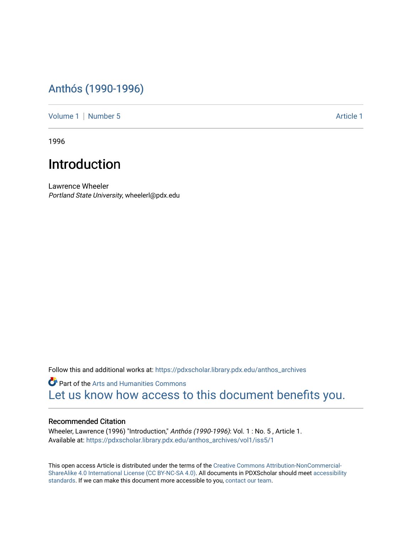## [Anthós \(1990-1996\)](https://pdxscholar.library.pdx.edu/anthos_archives)

[Volume 1](https://pdxscholar.library.pdx.edu/anthos_archives/vol1) | [Number 5](https://pdxscholar.library.pdx.edu/anthos_archives/vol1/iss5) Article 1

1996

## Introduction

Lawrence Wheeler Portland State University, wheelerl@pdx.edu

Follow this and additional works at: [https://pdxscholar.library.pdx.edu/anthos\\_archives](https://pdxscholar.library.pdx.edu/anthos_archives?utm_source=pdxscholar.library.pdx.edu%2Fanthos_archives%2Fvol1%2Fiss5%2F1&utm_medium=PDF&utm_campaign=PDFCoverPages)

Part of the [Arts and Humanities Commons](http://network.bepress.com/hgg/discipline/438?utm_source=pdxscholar.library.pdx.edu%2Fanthos_archives%2Fvol1%2Fiss5%2F1&utm_medium=PDF&utm_campaign=PDFCoverPages)  [Let us know how access to this document benefits you.](http://library.pdx.edu/services/pdxscholar-services/pdxscholar-feedback/) 

## Recommended Citation

Wheeler, Lawrence (1996) "Introduction," Anthós (1990-1996): Vol. 1 : No. 5 , Article 1. Available at: [https://pdxscholar.library.pdx.edu/anthos\\_archives/vol1/iss5/1](https://pdxscholar.library.pdx.edu/anthos_archives/vol1/iss5/1?utm_source=pdxscholar.library.pdx.edu%2Fanthos_archives%2Fvol1%2Fiss5%2F1&utm_medium=PDF&utm_campaign=PDFCoverPages) 

This open access Article is distributed under the terms of the [Creative Commons Attribution-NonCommercial-](https://creativecommons.org/licenses/by-nc-sa/4.0/)[ShareAlike 4.0 International License \(CC BY-NC-SA 4.0\).](https://creativecommons.org/licenses/by-nc-sa/4.0/) All documents in PDXScholar should meet [accessibility](https://pdxscholar.library.pdx.edu/accessibility.html) [standards](https://pdxscholar.library.pdx.edu/accessibility.html). If we can make this document more accessible to you, [contact our team.](mailto:pdxscholar@pdx.edu)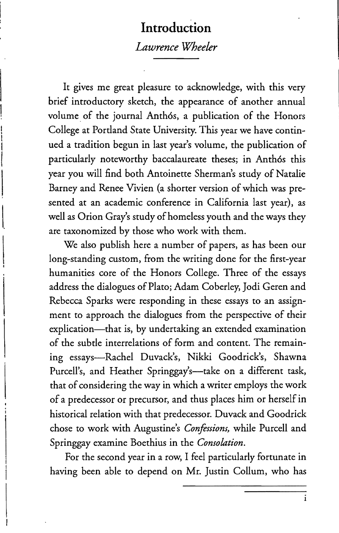## **Introduction**  *Lawrence Wheeler*

It gives me great pleasure to acknowledge, with this very brief introductory sketch, the appearance of another annual volume of the journal Anthós, a publication of the Honors College at Portland State University. This year we have continued a tradition begun in last year's volume, the publication of particularly noteworthy baccalaureate theses; in Anthós this year you will find both Antoinette Sherman's study of Natalie Barney and Renee Vivien (a shorter version of which was presented at an academic conference in California last year), as well as Orion Gray's study of homeless youth and the ways they are taxonomized by those who work with them.

We also publish here a number of papers, as has been our long-standing custom, from the writing done for the first-year humanities core of the Honors College. Three of the essays address the dialogues of Plato; Adam Coberley, Jodi Geren and Rebecca Sparks were responding in these essays to an assignment to approach the dialogues from the perspective of their explication-that is, by undertaking an extended examination of the subtle interrelations of form and content. The remaining essays-Rachel Duvack's, Nikki Goodrick's, Shawna Purcell's, and Heather Springgay's-take on a different task, that of considering the way in which a writer employs the work of a predecessor or precursor, and thus places him or herself in historical relation with that predecessor. Duvack and Goodrick chose to work with Augustine's *Confessions,* while Purcell and Springgay examine Boethius in the *Consolation.* 

For the second year in a row, I feel particularly fortunate in having been able to depend on Mr. Justin Collum, who has